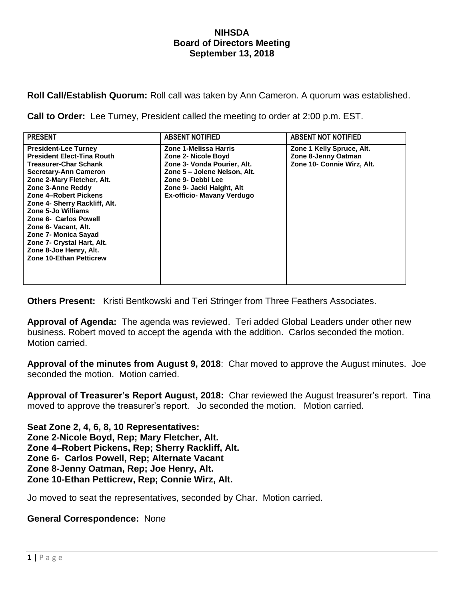## **NIHSDA Board of Directors Meeting September 13, 2018**

**Roll Call/Establish Quorum:** Roll call was taken by Ann Cameron. A quorum was established.

**Call to Order:** Lee Turney, President called the meeting to order at 2:00 p.m. EST.

| <b>PRESENT</b>                                                                                                                                                                                                                                                                                                                                                                                                                         | <b>ABSENT NOTIFIED</b>                                                                                                                                                                             | <b>ABSENT NOT NOTIFIED</b>                                                     |
|----------------------------------------------------------------------------------------------------------------------------------------------------------------------------------------------------------------------------------------------------------------------------------------------------------------------------------------------------------------------------------------------------------------------------------------|----------------------------------------------------------------------------------------------------------------------------------------------------------------------------------------------------|--------------------------------------------------------------------------------|
| <b>President-Lee Turney</b><br><b>President Elect-Tina Routh</b><br><b>Treasurer-Char Schank</b><br><b>Secretary-Ann Cameron</b><br>Zone 2-Mary Fletcher, Alt.<br>Zone 3-Anne Reddy<br>Zone 4-Robert Pickens<br>Zone 4- Sherry Rackliff, Alt.<br>Zone 5-Jo Williams<br>Zone 6- Carlos Powell<br>Zone 6- Vacant, Alt.<br>Zone 7- Monica Sayad<br>Zone 7- Crystal Hart, Alt.<br>Zone 8-Joe Henry, Alt.<br><b>Zone 10-Ethan Petticrew</b> | Zone 1-Melissa Harris<br>Zone 2- Nicole Boyd<br>Zone 3- Vonda Pourier, Alt.<br>Zone 5 - Jolene Nelson, Alt.<br>Zone 9- Debbi Lee<br>Zone 9- Jacki Haight, Alt<br><b>Ex-officio- Mavany Verdugo</b> | Zone 1 Kelly Spruce, Alt.<br>Zone 8-Jenny Oatman<br>Zone 10- Connie Wirz, Alt. |

**Others Present:** Kristi Bentkowski and Teri Stringer from Three Feathers Associates.

**Approval of Agenda:** The agenda was reviewed. Teri added Global Leaders under other new business. Robert moved to accept the agenda with the addition. Carlos seconded the motion. Motion carried.

**Approval of the minutes from August 9, 2018**: Char moved to approve the August minutes. Joe seconded the motion. Motion carried.

**Approval of Treasurer's Report August, 2018:** Char reviewed the August treasurer's report. Tina moved to approve the treasurer's report. Jo seconded the motion. Motion carried.

**Seat Zone 2, 4, 6, 8, 10 Representatives: Zone 2-Nicole Boyd, Rep; Mary Fletcher, Alt. Zone 4–Robert Pickens, Rep; Sherry Rackliff, Alt. Zone 6- Carlos Powell, Rep; Alternate Vacant Zone 8-Jenny Oatman, Rep; Joe Henry, Alt. Zone 10-Ethan Petticrew, Rep; Connie Wirz, Alt.**

Jo moved to seat the representatives, seconded by Char. Motion carried.

## **General Correspondence:** None